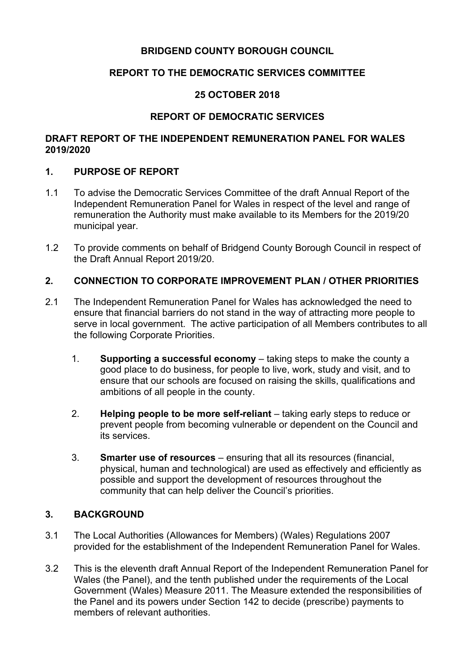# **BRIDGEND COUNTY BOROUGH COUNCIL**

# **REPORT TO THE DEMOCRATIC SERVICES COMMITTEE**

# **25 OCTOBER 2018**

# **REPORT OF DEMOCRATIC SERVICES**

### **DRAFT REPORT OF THE INDEPENDENT REMUNERATION PANEL FOR WALES 2019/2020**

### **1. PURPOSE OF REPORT**

- 1.1 To advise the Democratic Services Committee of the draft Annual Report of the Independent Remuneration Panel for Wales in respect of the level and range of remuneration the Authority must make available to its Members for the 2019/20 municipal year.
- 1.2 To provide comments on behalf of Bridgend County Borough Council in respect of the Draft Annual Report 2019/20.

# **2. CONNECTION TO CORPORATE IMPROVEMENT PLAN / OTHER PRIORITIES**

- 2.1 The Independent Remuneration Panel for Wales has acknowledged the need to ensure that financial barriers do not stand in the way of attracting more people to serve in local government. The active participation of all Members contributes to all the following Corporate Priorities.
	- 1. **Supporting a successful economy** taking steps to make the county a good place to do business, for people to live, work, study and visit, and to ensure that our schools are focused on raising the skills, qualifications and ambitions of all people in the county.
	- 2. **Helping people to be more self-reliant** taking early steps to reduce or prevent people from becoming vulnerable or dependent on the Council and its services.
	- 3. **Smarter use of resources** ensuring that all its resources (financial, physical, human and technological) are used as effectively and efficiently as possible and support the development of resources throughout the community that can help deliver the Council's priorities.

# **3. BACKGROUND**

- 3.1 The Local Authorities (Allowances for Members) (Wales) Regulations 2007 provided for the establishment of the Independent Remuneration Panel for Wales.
- 3.2 This is the eleventh draft Annual Report of the Independent Remuneration Panel for Wales (the Panel), and the tenth published under the requirements of the Local Government (Wales) Measure 2011. The Measure extended the responsibilities of the Panel and its powers under Section 142 to decide (prescribe) payments to members of relevant authorities.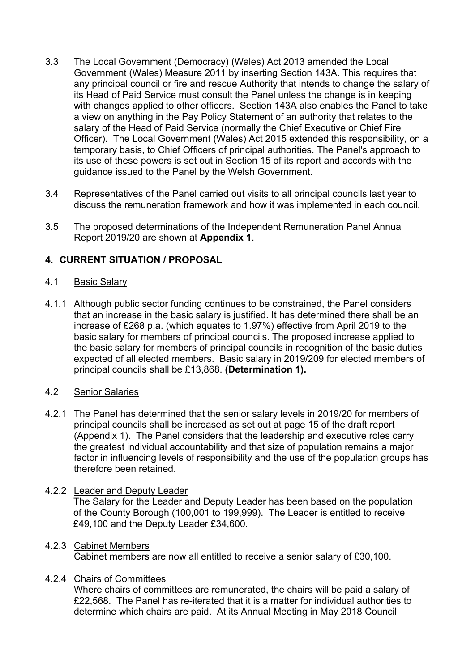- 3.3 The Local Government (Democracy) (Wales) Act 2013 amended the Local Government (Wales) Measure 2011 by inserting Section 143A. This requires that any principal council or fire and rescue Authority that intends to change the salary of its Head of Paid Service must consult the Panel unless the change is in keeping with changes applied to other officers. Section 143A also enables the Panel to take a view on anything in the Pay Policy Statement of an authority that relates to the salary of the Head of Paid Service (normally the Chief Executive or Chief Fire Officer). The Local Government (Wales) Act 2015 extended this responsibility, on a temporary basis, to Chief Officers of principal authorities. The Panel's approach to its use of these powers is set out in Section 15 of its report and accords with the guidance issued to the Panel by the Welsh Government.
- 3.4 Representatives of the Panel carried out visits to all principal councils last year to discuss the remuneration framework and how it was implemented in each council.
- 3.5 The proposed determinations of the Independent Remuneration Panel Annual Report 2019/20 are shown at **Appendix 1**.

# **4. CURRENT SITUATION / PROPOSAL**

#### 4.1 Basic Salary

4.1.1 Although public sector funding continues to be constrained, the Panel considers that an increase in the basic salary is justified. It has determined there shall be an increase of £268 p.a. (which equates to 1.97%) effective from April 2019 to the basic salary for members of principal councils. The proposed increase applied to the basic salary for members of principal councils in recognition of the basic duties expected of all elected members. Basic salary in 2019/209 for elected members of principal councils shall be £13,868. **(Determination 1).**

### 4.2 Senior Salaries

4.2.1 The Panel has determined that the senior salary levels in 2019/20 for members of principal councils shall be increased as set out at page 15 of the draft report (Appendix 1). The Panel considers that the leadership and executive roles carry the greatest individual accountability and that size of population remains a major factor in influencing levels of responsibility and the use of the population groups has therefore been retained.

#### 4.2.2 Leader and Deputy Leader

The Salary for the Leader and Deputy Leader has been based on the population of the County Borough (100,001 to 199,999). The Leader is entitled to receive £49,100 and the Deputy Leader £34,600.

#### 4.2.3 Cabinet Members

Cabinet members are now all entitled to receive a senior salary of £30,100.

#### 4.2.4 Chairs of Committees

Where chairs of committees are remunerated, the chairs will be paid a salary of £22,568. The Panel has re-iterated that it is a matter for individual authorities to determine which chairs are paid. At its Annual Meeting in May 2018 Council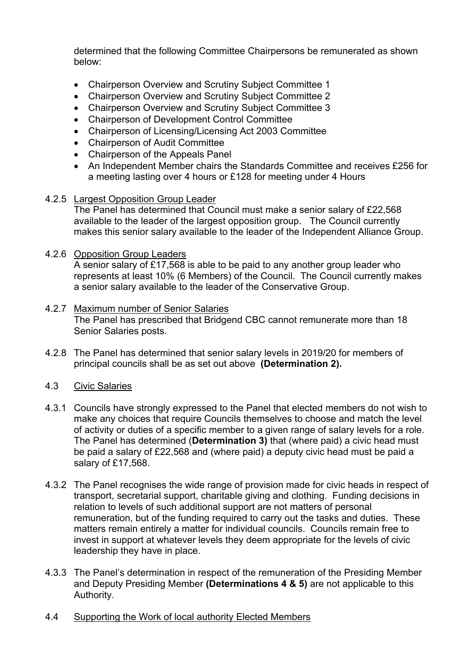determined that the following Committee Chairpersons be remunerated as shown below:

- Chairperson Overview and Scrutiny Subject Committee 1
- Chairperson Overview and Scrutiny Subject Committee 2
- Chairperson Overview and Scrutiny Subject Committee 3
- Chairperson of Development Control Committee
- Chairperson of Licensing/Licensing Act 2003 Committee
- Chairperson of Audit Committee
- Chairperson of the Appeals Panel
- An Independent Member chairs the Standards Committee and receives £256 for a meeting lasting over 4 hours or £128 for meeting under 4 Hours
- 4.2.5 Largest Opposition Group Leader

The Panel has determined that Council must make a senior salary of £22,568 available to the leader of the largest opposition group. The Council currently makes this senior salary available to the leader of the Independent Alliance Group.

#### 4.2.6 Opposition Group Leaders

A senior salary of £17,568 is able to be paid to any another group leader who represents at least 10% (6 Members) of the Council. The Council currently makes a senior salary available to the leader of the Conservative Group.

- 4.2.7 Maximum number of Senior Salaries The Panel has prescribed that Bridgend CBC cannot remunerate more than 18 Senior Salaries posts.
- 4.2.8 The Panel has determined that senior salary levels in 2019/20 for members of principal councils shall be as set out above **(Determination 2).**
- 4.3 Civic Salaries
- 4.3.1 Councils have strongly expressed to the Panel that elected members do not wish to make any choices that require Councils themselves to choose and match the level of activity or duties of a specific member to a given range of salary levels for a role. The Panel has determined (**Determination 3)** that (where paid) a civic head must be paid a salary of £22,568 and (where paid) a deputy civic head must be paid a salary of £17,568.
- 4.3.2 The Panel recognises the wide range of provision made for civic heads in respect of transport, secretarial support, charitable giving and clothing. Funding decisions in relation to levels of such additional support are not matters of personal remuneration, but of the funding required to carry out the tasks and duties. These matters remain entirely a matter for individual councils. Councils remain free to invest in support at whatever levels they deem appropriate for the levels of civic leadership they have in place.
- 4.3.3 The Panel's determination in respect of the remuneration of the Presiding Member and Deputy Presiding Member **(Determinations 4 & 5)** are not applicable to this Authority.
- 4.4 Supporting the Work of local authority Elected Members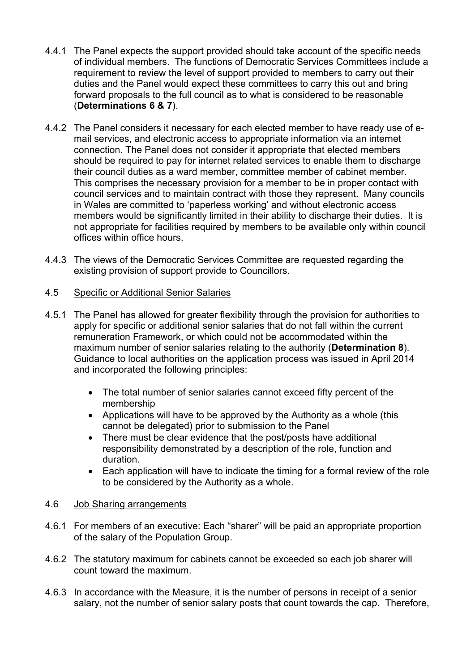- 4.4.1 The Panel expects the support provided should take account of the specific needs of individual members. The functions of Democratic Services Committees include a requirement to review the level of support provided to members to carry out their duties and the Panel would expect these committees to carry this out and bring forward proposals to the full council as to what is considered to be reasonable (**Determinations 6 & 7**).
- 4.4.2 The Panel considers it necessary for each elected member to have ready use of email services, and electronic access to appropriate information via an internet connection. The Panel does not consider it appropriate that elected members should be required to pay for internet related services to enable them to discharge their council duties as a ward member, committee member of cabinet member. This comprises the necessary provision for a member to be in proper contact with council services and to maintain contract with those they represent. Many councils in Wales are committed to 'paperless working' and without electronic access members would be significantly limited in their ability to discharge their duties. It is not appropriate for facilities required by members to be available only within council offices within office hours.
- 4.4.3 The views of the Democratic Services Committee are requested regarding the existing provision of support provide to Councillors.

# 4.5 Specific or Additional Senior Salaries

- 4.5.1 The Panel has allowed for greater flexibility through the provision for authorities to apply for specific or additional senior salaries that do not fall within the current remuneration Framework, or which could not be accommodated within the maximum number of senior salaries relating to the authority (**Determination 8**). Guidance to local authorities on the application process was issued in April 2014 and incorporated the following principles:
	- The total number of senior salaries cannot exceed fifty percent of the membership
	- Applications will have to be approved by the Authority as a whole (this cannot be delegated) prior to submission to the Panel
	- There must be clear evidence that the post/posts have additional responsibility demonstrated by a description of the role, function and duration.
	- Each application will have to indicate the timing for a formal review of the role to be considered by the Authority as a whole.

#### 4.6 Job Sharing arrangements

- 4.6.1 For members of an executive: Each "sharer" will be paid an appropriate proportion of the salary of the Population Group.
- 4.6.2 The statutory maximum for cabinets cannot be exceeded so each job sharer will count toward the maximum.
- 4.6.3 In accordance with the Measure, it is the number of persons in receipt of a senior salary, not the number of senior salary posts that count towards the cap. Therefore,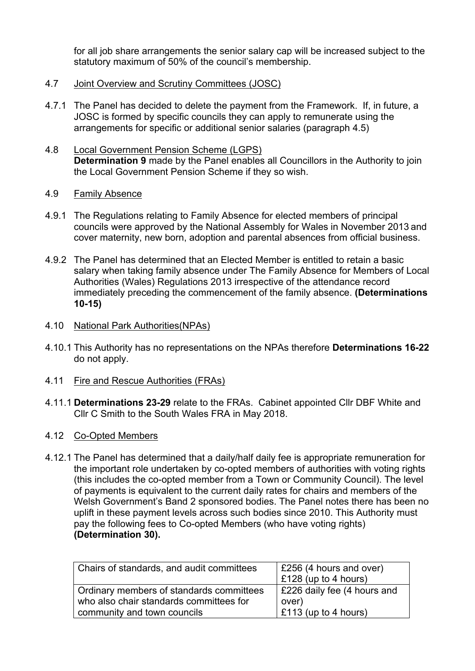for all job share arrangements the senior salary cap will be increased subject to the statutory maximum of 50% of the council's membership.

- 4.7 Joint Overview and Scrutiny Committees (JOSC)
- 4.7.1 The Panel has decided to delete the payment from the Framework. If, in future, a JOSC is formed by specific councils they can apply to remunerate using the arrangements for specific or additional senior salaries (paragraph 4.5)
- 4.8 Local Government Pension Scheme (LGPS) **Determination 9** made by the Panel enables all Councillors in the Authority to join the Local Government Pension Scheme if they so wish.
- 4.9 Family Absence
- 4.9.1 The Regulations relating to Family Absence for elected members of principal councils were approved by the National Assembly for Wales in November 2013 and cover maternity, new born, adoption and parental absences from official business.
- 4.9.2 The Panel has determined that an Elected Member is entitled to retain a basic salary when taking family absence under The Family Absence for Members of Local Authorities (Wales) Regulations 2013 irrespective of the attendance record immediately preceding the commencement of the family absence. **(Determinations 10-15)**
- 4.10 National Park Authorities(NPAs)
- 4.10.1 This Authority has no representations on the NPAs therefore **Determinations 16-22** do not apply.
- 4.11 Fire and Rescue Authorities (FRAs)
- 4.11.1 **Determinations 23-29** relate to the FRAs. Cabinet appointed Cllr DBF White and Cllr C Smith to the South Wales FRA in May 2018.
- 4.12 Co-Opted Members
- 4.12.1 The Panel has determined that a daily/half daily fee is appropriate remuneration for the important role undertaken by co-opted members of authorities with voting rights (this includes the co-opted member from a Town or Community Council). The level of payments is equivalent to the current daily rates for chairs and members of the Welsh Government's Band 2 sponsored bodies. The Panel notes there has been no uplift in these payment levels across such bodies since 2010. This Authority must pay the following fees to Co-opted Members (who have voting rights) **(Determination 30).**

| Chairs of standards, and audit committees | £256 (4 hours and over)<br>$\vert$ £128 (up to 4 hours) |
|-------------------------------------------|---------------------------------------------------------|
| Ordinary members of standards committees  | E226 daily fee (4 hours and                             |
| who also chair standards committees for   | over)                                                   |
| community and town councils               | $\vert$ £113 (up to 4 hours)                            |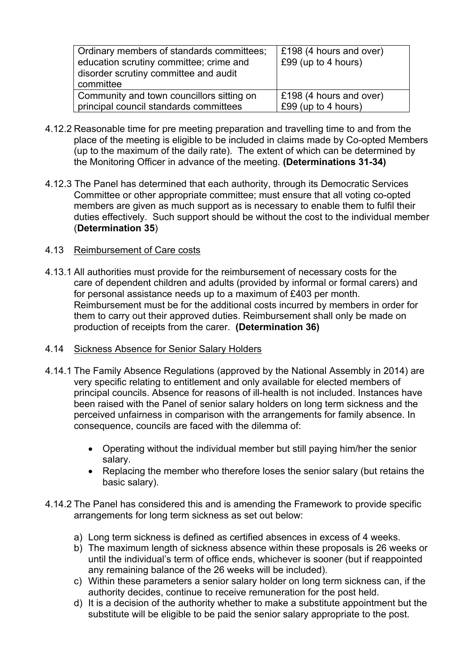| Ordinary members of standards committees;<br>education scrutiny committee; crime and<br>disorder scrutiny committee and audit<br>committee | £198 (4 hours and over)<br>£99 (up to 4 hours) |
|--------------------------------------------------------------------------------------------------------------------------------------------|------------------------------------------------|
| Community and town councillors sitting on                                                                                                  | £198 (4 hours and over)                        |
| principal council standards committees                                                                                                     | £99 (up to 4 hours)                            |

- 4.12.2 Reasonable time for pre meeting preparation and travelling time to and from the place of the meeting is eligible to be included in claims made by Co-opted Members (up to the maximum of the daily rate). The extent of which can be determined by the Monitoring Officer in advance of the meeting. **(Determinations 31-34)**
- 4.12.3 The Panel has determined that each authority, through its Democratic Services Committee or other appropriate committee; must ensure that all voting co-opted members are given as much support as is necessary to enable them to fulfil their duties effectively. Such support should be without the cost to the individual member (**Determination 35**)

#### 4.13 Reimbursement of Care costs

- 4.13.1 All authorities must provide for the reimbursement of necessary costs for the care of dependent children and adults (provided by informal or formal carers) and for personal assistance needs up to a maximum of £403 per month. Reimbursement must be for the additional costs incurred by members in order for them to carry out their approved duties. Reimbursement shall only be made on production of receipts from the carer. **(Determination 36)**
- 4.14 Sickness Absence for Senior Salary Holders
- 4.14.1 The Family Absence Regulations (approved by the National Assembly in 2014) are very specific relating to entitlement and only available for elected members of principal councils. Absence for reasons of ill-health is not included. Instances have been raised with the Panel of senior salary holders on long term sickness and the perceived unfairness in comparison with the arrangements for family absence. In consequence, councils are faced with the dilemma of:
	- Operating without the individual member but still paying him/her the senior salary.
	- Replacing the member who therefore loses the senior salary (but retains the basic salary).
- 4.14.2 The Panel has considered this and is amending the Framework to provide specific arrangements for long term sickness as set out below:
	- a) Long term sickness is defined as certified absences in excess of 4 weeks.
	- b) The maximum length of sickness absence within these proposals is 26 weeks or until the individual's term of office ends, whichever is sooner (but if reappointed any remaining balance of the 26 weeks will be included).
	- c) Within these parameters a senior salary holder on long term sickness can, if the authority decides, continue to receive remuneration for the post held.
	- d) It is a decision of the authority whether to make a substitute appointment but the substitute will be eligible to be paid the senior salary appropriate to the post.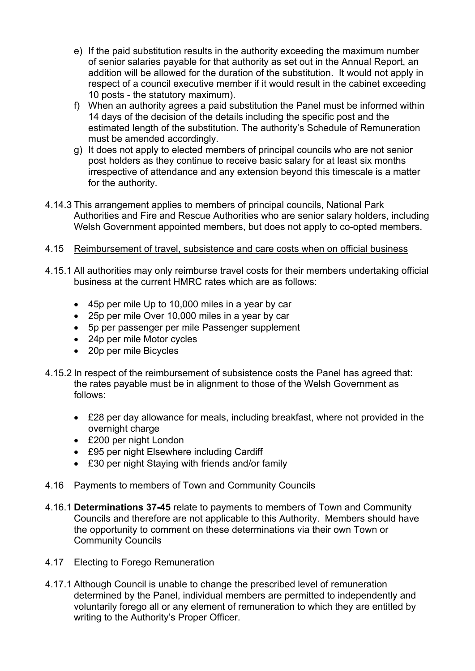- e) If the paid substitution results in the authority exceeding the maximum number of senior salaries payable for that authority as set out in the Annual Report, an addition will be allowed for the duration of the substitution. It would not apply in respect of a council executive member if it would result in the cabinet exceeding 10 posts - the statutory maximum).
- f) When an authority agrees a paid substitution the Panel must be informed within 14 days of the decision of the details including the specific post and the estimated length of the substitution. The authority's Schedule of Remuneration must be amended accordingly.
- g) It does not apply to elected members of principal councils who are not senior post holders as they continue to receive basic salary for at least six months irrespective of attendance and any extension beyond this timescale is a matter for the authority.
- 4.14.3 This arrangement applies to members of principal councils, National Park Authorities and Fire and Rescue Authorities who are senior salary holders, including Welsh Government appointed members, but does not apply to co-opted members.

### 4.15 Reimbursement of travel, subsistence and care costs when on official business

- 4.15.1 All authorities may only reimburse travel costs for their members undertaking official business at the current HMRC rates which are as follows:
	- 45p per mile Up to 10,000 miles in a year by car
	- 25p per mile Over 10,000 miles in a year by car
	- 5p per passenger per mile Passenger supplement
	- 24p per mile Motor cycles
	- 20p per mile Bicycles
- 4.15.2 In respect of the reimbursement of subsistence costs the Panel has agreed that: the rates payable must be in alignment to those of the Welsh Government as follows:
	- £28 per day allowance for meals, including breakfast, where not provided in the overnight charge
	- £200 per night London
	- £95 per night Elsewhere including Cardiff
	- £30 per night Staying with friends and/or family

#### 4.16 Payments to members of Town and Community Councils

4.16.1 **Determinations 37-45** relate to payments to members of Town and Community Councils and therefore are not applicable to this Authority. Members should have the opportunity to comment on these determinations via their own Town or Community Councils

#### 4.17 Electing to Forego Remuneration

4.17.1 Although Council is unable to change the prescribed level of remuneration determined by the Panel, individual members are permitted to independently and voluntarily forego all or any element of remuneration to which they are entitled by writing to the Authority's Proper Officer.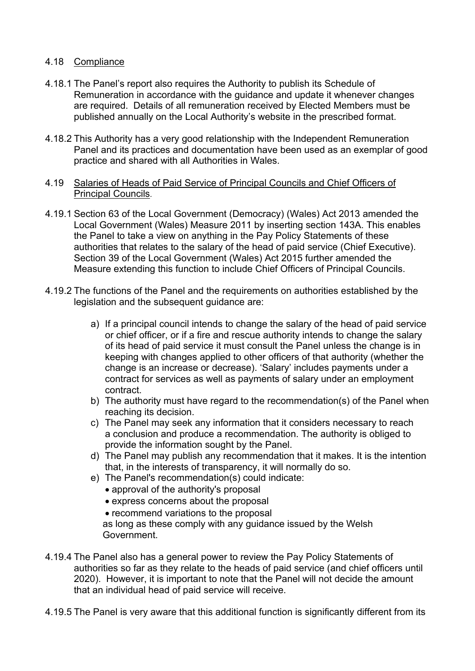### 4.18 Compliance

- 4.18.1 The Panel's report also requires the Authority to publish its Schedule of Remuneration in accordance with the guidance and update it whenever changes are required. Details of all remuneration received by Elected Members must be published annually on the Local Authority's website in the prescribed format.
- 4.18.2 This Authority has a very good relationship with the Independent Remuneration Panel and its practices and documentation have been used as an exemplar of good practice and shared with all Authorities in Wales.
- 4.19 Salaries of Heads of Paid Service of Principal Councils and Chief Officers of Principal Councils.
- 4.19.1 Section 63 of the Local Government (Democracy) (Wales) Act 2013 amended the Local Government (Wales) Measure 2011 by inserting section 143A. This enables the Panel to take a view on anything in the Pay Policy Statements of these authorities that relates to the salary of the head of paid service (Chief Executive). Section 39 of the Local Government (Wales) Act 2015 further amended the Measure extending this function to include Chief Officers of Principal Councils.
- 4.19.2 The functions of the Panel and the requirements on authorities established by the legislation and the subsequent guidance are:
	- a) If a principal council intends to change the salary of the head of paid service or chief officer, or if a fire and rescue authority intends to change the salary of its head of paid service it must consult the Panel unless the change is in keeping with changes applied to other officers of that authority (whether the change is an increase or decrease). 'Salary' includes payments under a contract for services as well as payments of salary under an employment contract.
	- b) The authority must have regard to the recommendation(s) of the Panel when reaching its decision.
	- c) The Panel may seek any information that it considers necessary to reach a conclusion and produce a recommendation. The authority is obliged to provide the information sought by the Panel.
	- d) The Panel may publish any recommendation that it makes. It is the intention that, in the interests of transparency, it will normally do so.
	- e) The Panel's recommendation(s) could indicate:
		- approval of the authority's proposal
		- express concerns about the proposal
		- recommend variations to the proposal

as long as these comply with any guidance issued by the Welsh Government.

- 4.19.4 The Panel also has a general power to review the Pay Policy Statements of authorities so far as they relate to the heads of paid service (and chief officers until 2020). However, it is important to note that the Panel will not decide the amount that an individual head of paid service will receive.
- 4.19.5 The Panel is very aware that this additional function is significantly different from its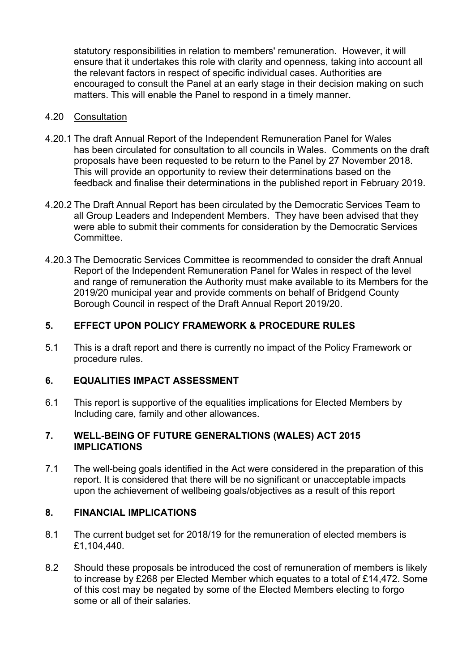statutory responsibilities in relation to members' remuneration. However, it will ensure that it undertakes this role with clarity and openness, taking into account all the relevant factors in respect of specific individual cases. Authorities are encouraged to consult the Panel at an early stage in their decision making on such matters. This will enable the Panel to respond in a timely manner.

#### 4.20 Consultation

- 4.20.1 The draft Annual Report of the Independent Remuneration Panel for Wales has been circulated for consultation to all councils in Wales. Comments on the draft proposals have been requested to be return to the Panel by 27 November 2018. This will provide an opportunity to review their determinations based on the feedback and finalise their determinations in the published report in February 2019.
- 4.20.2 The Draft Annual Report has been circulated by the Democratic Services Team to all Group Leaders and Independent Members. They have been advised that they were able to submit their comments for consideration by the Democratic Services Committee.
- 4.20.3 The Democratic Services Committee is recommended to consider the draft Annual Report of the Independent Remuneration Panel for Wales in respect of the level and range of remuneration the Authority must make available to its Members for the 2019/20 municipal year and provide comments on behalf of Bridgend County Borough Council in respect of the Draft Annual Report 2019/20.

# **5. EFFECT UPON POLICY FRAMEWORK & PROCEDURE RULES**

5.1 This is a draft report and there is currently no impact of the Policy Framework or procedure rules.

# **6. EQUALITIES IMPACT ASSESSMENT**

6.1 This report is supportive of the equalities implications for Elected Members by Including care, family and other allowances.

### **7. WELL-BEING OF FUTURE GENERALTIONS (WALES) ACT 2015 IMPLICATIONS**

7.1 The well-being goals identified in the Act were considered in the preparation of this report. It is considered that there will be no significant or unacceptable impacts upon the achievement of wellbeing goals/objectives as a result of this report

# **8. FINANCIAL IMPLICATIONS**

- 8.1 The current budget set for 2018/19 for the remuneration of elected members is £1,104,440.
- 8.2 Should these proposals be introduced the cost of remuneration of members is likely to increase by £268 per Elected Member which equates to a total of £14,472. Some of this cost may be negated by some of the Elected Members electing to forgo some or all of their salaries.